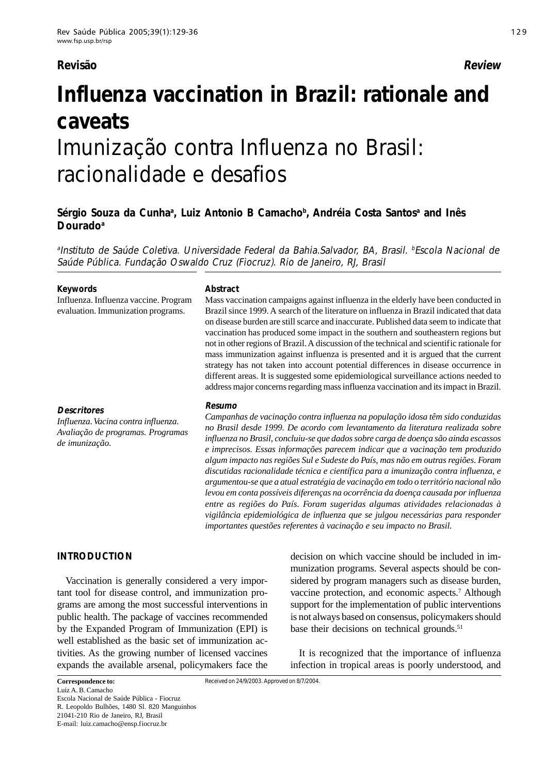**Revisão Review**

 $129$ 

# **Influenza vaccination in Brazil: rationale and caveats** Imunização contra Influenza no Brasil: racionalidade e desafios

# **Sérgio Souza da Cunhaa , Luiz Antonio B Camachob , Andréia Costa Santosa and Inês Douradoa**

<sup>a</sup>Instituto de Saúde Coletiva. Universidade Federal da Bahia. Salvador, BA, Brasil. <sup>b</sup>Escola Nacional de Saúde Pública. Fundação Oswaldo Cruz (Fiocruz). Rio de Janeiro, RJ, Brasil

#### **Keywords**

Influenza. Influenza vaccine. Program evaluation. Immunization programs.

#### **Abstract**

Mass vaccination campaigns against influenza in the elderly have been conducted in Brazil since 1999. A search of the literature on influenza in Brazil indicated that data on disease burden are still scarce and inaccurate. Published data seem to indicate that vaccination has produced some impact in the southern and southeastern regions but not in other regions of Brazil. A discussion of the technical and scientific rationale for mass immunization against influenza is presented and it is argued that the current strategy has not taken into account potential differences in disease occurrence in different areas. It is suggested some epidemiological surveillance actions needed to address major concerns regarding mass influenza vaccination and its impact in Brazil.

#### **Descritores**

*Influenza. Vacina contra influenza. Avaliação de programas. Programas de imunização.*

#### **Resumo**

*Campanhas de vacinação contra influenza na população idosa têm sido conduzidas no Brasil desde 1999. De acordo com levantamento da literatura realizada sobre influenza no Brasil, concluiu-se que dados sobre carga de doença são ainda escassos e imprecisos. Essas informações parecem indicar que a vacinação tem produzido algum impacto nas regiões Sul e Sudeste do País, mas não em outras regiões. Foram discutidas racionalidade técnica e científica para a imunização contra influenza, e argumentou-se que a atual estratégia de vacinação em todo o território nacional não levou em conta possíveis diferenças na ocorrência da doença causada por influenza entre as regiões do País. Foram sugeridas algumas atividades relacionadas à vigilância epidemiológica de influenza que se julgou necessárias para responder importantes questões referentes à vacinação e seu impacto no Brasil.*

#### **INTRODUCTION**

Vaccination is generally considered a very important tool for disease control, and immunization programs are among the most successful interventions in public health. The package of vaccines recommended by the Expanded Program of Immunization (EPI) is well established as the basic set of immunization activities. As the growing number of licensed vaccines expands the available arsenal, policymakers face the decision on which vaccine should be included in immunization programs. Several aspects should be considered by program managers such as disease burden, vaccine protection, and economic aspects.<sup>7</sup> Although support for the implementation of public interventions is not always based on consensus, policymakers should base their decisions on technical grounds.<sup>51</sup>

It is recognized that the importance of influenza infection in tropical areas is poorly understood, and

Received on 24/9/2003. Approved on 8/7/2004.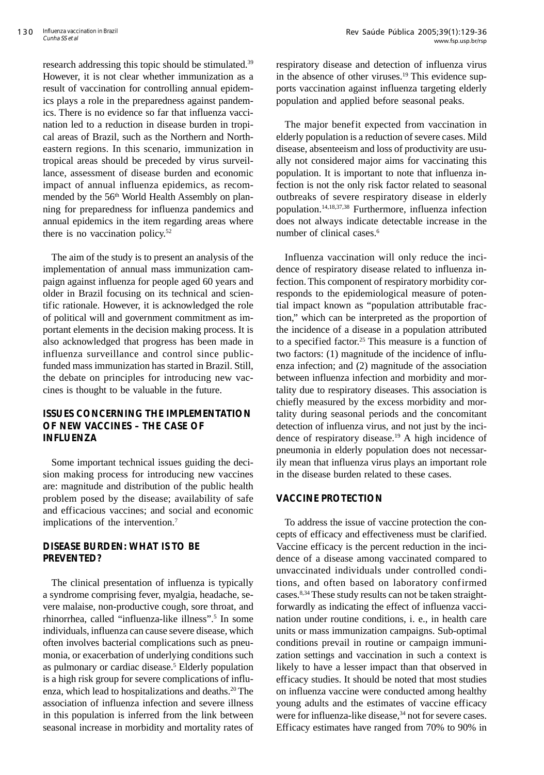research addressing this topic should be stimulated.39 However, it is not clear whether immunization as a result of vaccination for controlling annual epidemics plays a role in the preparedness against pandemics. There is no evidence so far that influenza vaccination led to a reduction in disease burden in tropical areas of Brazil, such as the Northern and Northeastern regions. In this scenario, immunization in tropical areas should be preceded by virus surveillance, assessment of disease burden and economic impact of annual influenza epidemics, as recommended by the 56<sup>th</sup> World Health Assembly on planning for preparedness for influenza pandemics and annual epidemics in the item regarding areas where there is no vaccination policy.52

The aim of the study is to present an analysis of the implementation of annual mass immunization campaign against influenza for people aged 60 years and older in Brazil focusing on its technical and scientific rationale. However, it is acknowledged the role of political will and government commitment as important elements in the decision making process. It is also acknowledged that progress has been made in influenza surveillance and control since publicfunded mass immunization has started in Brazil. Still, the debate on principles for introducing new vaccines is thought to be valuable in the future.

## **ISSUES CONCERNING THE IMPLEMENTATION OF NEW VACCINES – THE CASE OF INFLUENZA**

Some important technical issues guiding the decision making process for introducing new vaccines are: magnitude and distribution of the public health problem posed by the disease; availability of safe and efficacious vaccines; and social and economic implications of the intervention.<sup>7</sup>

## **DISEASE BURDEN: WHAT IS TO BE PREVENTED?**

The clinical presentation of influenza is typically a syndrome comprising fever, myalgia, headache, severe malaise, non-productive cough, sore throat, and rhinorrhea, called "influenza-like illness".5 In some individuals, influenza can cause severe disease, which often involves bacterial complications such as pneumonia, or exacerbation of underlying conditions such as pulmonary or cardiac disease.<sup>5</sup> Elderly population is a high risk group for severe complications of influenza, which lead to hospitalizations and deaths.20 The association of influenza infection and severe illness in this population is inferred from the link between seasonal increase in morbidity and mortality rates of respiratory disease and detection of influenza virus in the absence of other viruses.<sup>19</sup> This evidence supports vaccination against influenza targeting elderly population and applied before seasonal peaks.

The major benefit expected from vaccination in elderly population is a reduction of severe cases. Mild disease, absenteeism and loss of productivity are usually not considered major aims for vaccinating this population. It is important to note that influenza infection is not the only risk factor related to seasonal outbreaks of severe respiratory disease in elderly population.14,18,37,38 Furthermore, influenza infection does not always indicate detectable increase in the number of clinical cases. $6$ 

Influenza vaccination will only reduce the incidence of respiratory disease related to influenza infection. This component of respiratory morbidity corresponds to the epidemiological measure of potential impact known as "population attributable fraction," which can be interpreted as the proportion of the incidence of a disease in a population attributed to a specified factor.<sup>25</sup> This measure is a function of two factors: (1) magnitude of the incidence of influenza infection; and (2) magnitude of the association between influenza infection and morbidity and mortality due to respiratory diseases. This association is chiefly measured by the excess morbidity and mortality during seasonal periods and the concomitant detection of influenza virus, and not just by the incidence of respiratory disease.19 A high incidence of pneumonia in elderly population does not necessarily mean that influenza virus plays an important role in the disease burden related to these cases.

### **VACCINE PROTECTION**

To address the issue of vaccine protection the concepts of efficacy and effectiveness must be clarified. Vaccine efficacy is the percent reduction in the incidence of a disease among vaccinated compared to unvaccinated individuals under controlled conditions, and often based on laboratory confirmed cases.8,34 These study results can not be taken straightforwardly as indicating the effect of influenza vaccination under routine conditions, i. e., in health care units or mass immunization campaigns. Sub-optimal conditions prevail in routine or campaign immunization settings and vaccination in such a context is likely to have a lesser impact than that observed in efficacy studies. It should be noted that most studies on influenza vaccine were conducted among healthy young adults and the estimates of vaccine efficacy were for influenza-like disease,<sup>34</sup> not for severe cases. Efficacy estimates have ranged from 70% to 90% in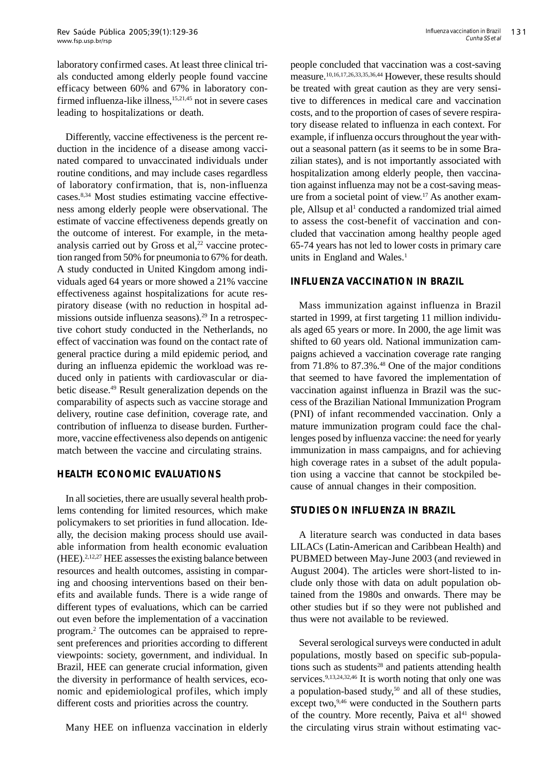laboratory confirmed cases. At least three clinical trials conducted among elderly people found vaccine efficacy between 60% and 67% in laboratory confirmed influenza-like illness,<sup>15,21,45</sup> not in severe cases leading to hospitalizations or death.

Differently, vaccine effectiveness is the percent reduction in the incidence of a disease among vaccinated compared to unvaccinated individuals under routine conditions, and may include cases regardless of laboratory confirmation, that is, non-influenza cases.8,34 Most studies estimating vaccine effectiveness among elderly people were observational. The estimate of vaccine effectiveness depends greatly on the outcome of interest. For example, in the metaanalysis carried out by Gross et al, $22$  vaccine protection ranged from 50% for pneumonia to 67% for death. A study conducted in United Kingdom among individuals aged 64 years or more showed a 21% vaccine effectiveness against hospitalizations for acute respiratory disease (with no reduction in hospital admissions outside influenza seasons).29 In a retrospective cohort study conducted in the Netherlands, no effect of vaccination was found on the contact rate of general practice during a mild epidemic period, and during an influenza epidemic the workload was reduced only in patients with cardiovascular or diabetic disease.49 Result generalization depends on the comparability of aspects such as vaccine storage and delivery, routine case definition, coverage rate, and contribution of influenza to disease burden. Furthermore, vaccine effectiveness also depends on antigenic match between the vaccine and circulating strains.

#### **HEALTH ECONOMIC EVALUATIONS**

In all societies, there are usually several health problems contending for limited resources, which make policymakers to set priorities in fund allocation. Ideally, the decision making process should use available information from health economic evaluation (HEE).2,12,27 HEE assesses the existing balance between resources and health outcomes, assisting in comparing and choosing interventions based on their benefits and available funds. There is a wide range of different types of evaluations, which can be carried out even before the implementation of a vaccination program.2 The outcomes can be appraised to represent preferences and priorities according to different viewpoints: society, government, and individual. In Brazil, HEE can generate crucial information, given the diversity in performance of health services, economic and epidemiological profiles, which imply different costs and priorities across the country.

Many HEE on influenza vaccination in elderly

people concluded that vaccination was a cost-saving measure.10,16,17,26,33,35,36,44 However, these results should be treated with great caution as they are very sensitive to differences in medical care and vaccination costs, and to the proportion of cases of severe respiratory disease related to influenza in each context. For example, if influenza occurs throughout the year without a seasonal pattern (as it seems to be in some Brazilian states), and is not importantly associated with hospitalization among elderly people, then vaccination against influenza may not be a cost-saving measure from a societal point of view.17 As another example, Allsup et al<sup>1</sup> conducted a randomized trial aimed to assess the cost-benefit of vaccination and concluded that vaccination among healthy people aged 65-74 years has not led to lower costs in primary care units in England and Wales.<sup>1</sup>

#### **INFLUENZA VACCINATION IN BRAZIL**

Mass immunization against influenza in Brazil started in 1999, at first targeting 11 million individuals aged 65 years or more. In 2000, the age limit was shifted to 60 years old. National immunization campaigns achieved a vaccination coverage rate ranging from 71.8% to 87.3%.<sup>48</sup> One of the major conditions that seemed to have favored the implementation of vaccination against influenza in Brazil was the success of the Brazilian National Immunization Program (PNI) of infant recommended vaccination. Only a mature immunization program could face the challenges posed by influenza vaccine: the need for yearly immunization in mass campaigns, and for achieving high coverage rates in a subset of the adult population using a vaccine that cannot be stockpiled because of annual changes in their composition.

#### **STUDIES ON INFLUENZA IN BRAZIL**

A literature search was conducted in data bases LILACs (Latin-American and Caribbean Health) and PUBMED between May-June 2003 (and reviewed in August 2004). The articles were short-listed to include only those with data on adult population obtained from the 1980s and onwards. There may be other studies but if so they were not published and thus were not available to be reviewed.

Several serological surveys were conducted in adult populations, mostly based on specific sub-populations such as students<sup>28</sup> and patients attending health services.<sup>9,13,24,32,46</sup> It is worth noting that only one was a population-based study,<sup>50</sup> and all of these studies, except two,<sup>9,46</sup> were conducted in the Southern parts of the country. More recently, Paiva et al<sup>41</sup> showed the circulating virus strain without estimating vac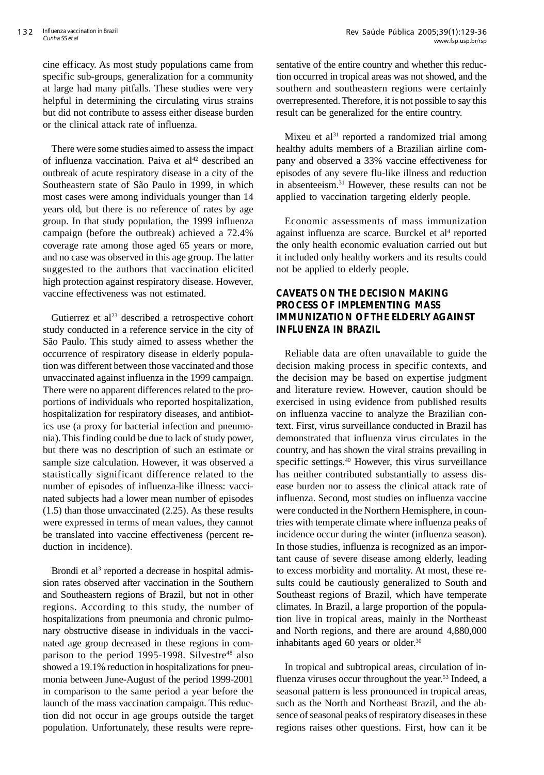cine efficacy. As most study populations came from specific sub-groups, generalization for a community at large had many pitfalls. These studies were very helpful in determining the circulating virus strains but did not contribute to assess either disease burden or the clinical attack rate of influenza.

There were some studies aimed to assess the impact of influenza vaccination. Paiva et al<sup>42</sup> described an outbreak of acute respiratory disease in a city of the Southeastern state of São Paulo in 1999, in which most cases were among individuals younger than 14 years old, but there is no reference of rates by age group. In that study population, the 1999 influenza campaign (before the outbreak) achieved a 72.4% coverage rate among those aged 65 years or more, and no case was observed in this age group. The latter suggested to the authors that vaccination elicited high protection against respiratory disease. However, vaccine effectiveness was not estimated.

Gutierrez et  $al^{23}$  described a retrospective cohort study conducted in a reference service in the city of São Paulo. This study aimed to assess whether the occurrence of respiratory disease in elderly population was different between those vaccinated and those unvaccinated against influenza in the 1999 campaign. There were no apparent differences related to the proportions of individuals who reported hospitalization, hospitalization for respiratory diseases, and antibiotics use (a proxy for bacterial infection and pneumonia). This finding could be due to lack of study power, but there was no description of such an estimate or sample size calculation. However, it was observed a statistically significant difference related to the number of episodes of influenza-like illness: vaccinated subjects had a lower mean number of episodes (1.5) than those unvaccinated (2.25). As these results were expressed in terms of mean values, they cannot be translated into vaccine effectiveness (percent reduction in incidence).

Brondi et al<sup>3</sup> reported a decrease in hospital admission rates observed after vaccination in the Southern and Southeastern regions of Brazil, but not in other regions. According to this study, the number of hospitalizations from pneumonia and chronic pulmonary obstructive disease in individuals in the vaccinated age group decreased in these regions in comparison to the period 1995-1998. Silvestre<sup>48</sup> also showed a 19.1% reduction in hospitalizations for pneumonia between June-August of the period 1999-2001 in comparison to the same period a year before the launch of the mass vaccination campaign. This reduction did not occur in age groups outside the target population. Unfortunately, these results were representative of the entire country and whether this reduction occurred in tropical areas was not showed, and the southern and southeastern regions were certainly overrepresented. Therefore, it is not possible to say this result can be generalized for the entire country.

Mixeu et  $al^{31}$  reported a randomized trial among healthy adults members of a Brazilian airline company and observed a 33% vaccine effectiveness for episodes of any severe flu-like illness and reduction in absenteeism.<sup>31</sup> However, these results can not be applied to vaccination targeting elderly people.

Economic assessments of mass immunization against influenza are scarce. Burckel et al<sup>4</sup> reported the only health economic evaluation carried out but it included only healthy workers and its results could not be applied to elderly people.

## **CAVEATS ON THE DECISION MAKING PROCESS OF IMPLEMENTING MASS IMMUNIZATION OF THE ELDERLY AGAINST INFLUENZA IN BRAZIL**

Reliable data are often unavailable to guide the decision making process in specific contexts, and the decision may be based on expertise judgment and literature review. However, caution should be exercised in using evidence from published results on influenza vaccine to analyze the Brazilian context. First, virus surveillance conducted in Brazil has demonstrated that influenza virus circulates in the country, and has shown the viral strains prevailing in specific settings.<sup>40</sup> However, this virus surveillance has neither contributed substantially to assess disease burden nor to assess the clinical attack rate of influenza. Second, most studies on influenza vaccine were conducted in the Northern Hemisphere, in countries with temperate climate where influenza peaks of incidence occur during the winter (influenza season). In those studies, influenza is recognized as an important cause of severe disease among elderly, leading to excess morbidity and mortality. At most, these results could be cautiously generalized to South and Southeast regions of Brazil, which have temperate climates. In Brazil, a large proportion of the population live in tropical areas, mainly in the Northeast and North regions, and there are around 4,880,000 inhabitants aged 60 years or older.<sup>30</sup>

In tropical and subtropical areas, circulation of influenza viruses occur throughout the year.<sup>53</sup> Indeed, a seasonal pattern is less pronounced in tropical areas, such as the North and Northeast Brazil, and the absence of seasonal peaks of respiratory diseases in these regions raises other questions. First, how can it be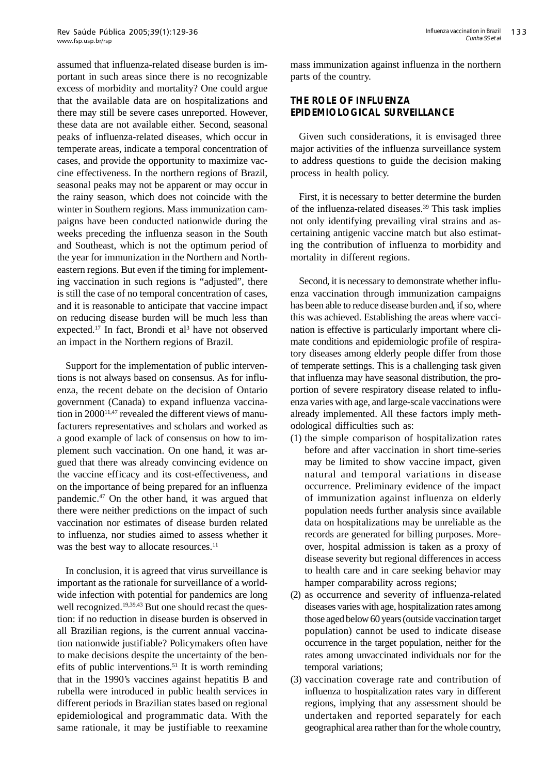assumed that influenza-related disease burden is important in such areas since there is no recognizable excess of morbidity and mortality? One could argue that the available data are on hospitalizations and there may still be severe cases unreported. However, these data are not available either. Second, seasonal peaks of influenza-related diseases, which occur in temperate areas, indicate a temporal concentration of cases, and provide the opportunity to maximize vaccine effectiveness. In the northern regions of Brazil, seasonal peaks may not be apparent or may occur in the rainy season, which does not coincide with the winter in Southern regions. Mass immunization campaigns have been conducted nationwide during the weeks preceding the influenza season in the South and Southeast, which is not the optimum period of the year for immunization in the Northern and Northeastern regions. But even if the timing for implementing vaccination in such regions is "adjusted", there is still the case of no temporal concentration of cases, and it is reasonable to anticipate that vaccine impact on reducing disease burden will be much less than expected.<sup>17</sup> In fact, Brondi et al<sup>3</sup> have not observed an impact in the Northern regions of Brazil.

Support for the implementation of public interventions is not always based on consensus. As for influenza, the recent debate on the decision of Ontario government (Canada) to expand influenza vaccination in  $2000^{11,47}$  revealed the different views of manufacturers representatives and scholars and worked as a good example of lack of consensus on how to implement such vaccination. On one hand, it was argued that there was already convincing evidence on the vaccine efficacy and its cost-effectiveness, and on the importance of being prepared for an influenza pandemic.47 On the other hand, it was argued that there were neither predictions on the impact of such vaccination nor estimates of disease burden related to influenza, nor studies aimed to assess whether it was the best way to allocate resources.<sup>11</sup>

In conclusion, it is agreed that virus surveillance is important as the rationale for surveillance of a worldwide infection with potential for pandemics are long well recognized.<sup>19,39,43</sup> But one should recast the question: if no reduction in disease burden is observed in all Brazilian regions, is the current annual vaccination nationwide justifiable? Policymakers often have to make decisions despite the uncertainty of the benefits of public interventions.<sup>51</sup> It is worth reminding that in the 1990's vaccines against hepatitis B and rubella were introduced in public health services in different periods in Brazilian states based on regional epidemiological and programmatic data. With the same rationale, it may be justifiable to reexamine mass immunization against influenza in the northern parts of the country.

# **THE ROLE OF INFLUENZA EPIDEMIOLOGICAL SURVEILLANCE**

Given such considerations, it is envisaged three major activities of the influenza surveillance system to address questions to guide the decision making process in health policy.

First, it is necessary to better determine the burden of the influenza-related diseases.39 This task implies not only identifying prevailing viral strains and ascertaining antigenic vaccine match but also estimating the contribution of influenza to morbidity and mortality in different regions.

Second, it is necessary to demonstrate whether influenza vaccination through immunization campaigns has been able to reduce disease burden and, if so, where this was achieved. Establishing the areas where vaccination is effective is particularly important where climate conditions and epidemiologic profile of respiratory diseases among elderly people differ from those of temperate settings. This is a challenging task given that influenza may have seasonal distribution, the proportion of severe respiratory disease related to influenza varies with age, and large-scale vaccinations were already implemented. All these factors imply methodological difficulties such as:

- (1) the simple comparison of hospitalization rates before and after vaccination in short time-series may be limited to show vaccine impact, given natural and temporal variations in disease occurrence. Preliminary evidence of the impact of immunization against influenza on elderly population needs further analysis since available data on hospitalizations may be unreliable as the records are generated for billing purposes. Moreover, hospital admission is taken as a proxy of disease severity but regional differences in access to health care and in care seeking behavior may hamper comparability across regions;
- (2) as occurrence and severity of influenza-related diseases varies with age, hospitalization rates among those aged below 60 years (outside vaccination target population) cannot be used to indicate disease occurrence in the target population, neither for the rates among unvaccinated individuals nor for the temporal variations;
- (3) vaccination coverage rate and contribution of influenza to hospitalization rates vary in different regions, implying that any assessment should be undertaken and reported separately for each geographical area rather than for the whole country,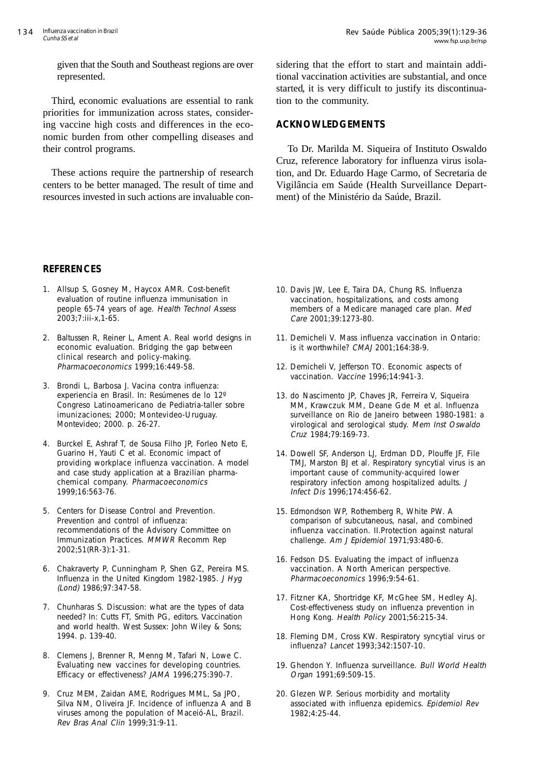given that the South and Southeast regions are over represented.

Third, economic evaluations are essential to rank priorities for immunization across states, considering vaccine high costs and differences in the economic burden from other compelling diseases and their control programs.

These actions require the partnership of research centers to be better managed. The result of time and resources invested in such actions are invaluable con-

## **REFERENCES**

- 1. Allsup S, Gosney M, Haycox AMR. Cost-benefit evaluation of routine influenza immunisation in people 65-74 years of age. Health Technol Assess 2003;7:iii-x,1-65.
- 2. Baltussen R, Reiner L, Ament A. Real world designs in economic evaluation. Bridging the gap between clinical research and policy-making. Pharmacoeconomics 1999;16:449-58.
- 3. Brondi L, Barbosa J. Vacina contra influenza: experiencia en Brasil. In: Resúmenes de lo 12º Congreso Latinoamericano de Pediatria-taller sobre imunizaciones; 2000; Montevideo-Uruguay. Montevideo; 2000. p. 26-27.
- 4. Burckel E, Ashraf T, de Sousa Filho JP, Forleo Neto E, Guarino H, Yauti C et al. Economic impact of providing workplace influenza vaccination. A model and case study application at a Brazilian pharmachemical company. Pharmacoeconomics 1999;16:563-76.
- 5. Centers for Disease Control and Prevention. Prevention and control of influenza: recommendations of the Advisory Committee on Immunization Practices. MMWR Recomm Rep 2002;51(RR-3):1-31.
- 6. Chakraverty P, Cunningham P, Shen GZ, Pereira MS. Influenza in the United Kingdom 1982-1985. J Hyg (Lond) 1986;97:347-58.
- 7. Chunharas S. Discussion: what are the types of data needed? In: Cutts FT, Smith PG, editors. Vaccination and world health. West Sussex: John Wiley & Sons; 1994. p. 139-40.
- 8. Clemens J, Brenner R, Menng M, Tafari N, Lowe C. Evaluating new vaccines for developing countries. Efficacy or effectiveness? JAMA 1996;275:390-7.
- 9. Cruz MEM, Zaidan AME, Rodrigues MML, Sa JPO, Silva NM, Oliveira JF. Incidence of influenza A and B viruses among the population of Maceió-AL, Brazil. Rev Bras Anal Clin 1999;31:9-11.

sidering that the effort to start and maintain additional vaccination activities are substantial, and once started, it is very difficult to justify its discontinuation to the community.

#### **ACKNOWLEDGEMENTS**

 To Dr. Marilda M. Siqueira of Instituto Oswaldo Cruz, reference laboratory for influenza virus isolation, and Dr. Eduardo Hage Carmo, of Secretaria de Vigilância em Saúde (Health Surveillance Department) of the Ministério da Saúde, Brazil.

- 10. Davis JW, Lee E, Taira DA, Chung RS. Influenza vaccination, hospitalizations, and costs among members of a Medicare managed care plan. Med Care 2001;39:1273-80.
- 11. Demicheli V. Mass influenza vaccination in Ontario: is it worthwhile? CMAJ 2001;164:38-9.
- 12. Demicheli V, Jefferson TO. Economic aspects of vaccination. Vaccine 1996;14:941-3.
- 13. do Nascimento JP, Chaves JR, Ferreira V, Siqueira MM, Krawczuk MM, Deane Gde M et al. Influenza surveillance on Rio de Janeiro between 1980-1981: a virological and serological study. Mem Inst Oswaldo Cruz 1984;79:169-73.
- 14. Dowell SF, Anderson LJ, Erdman DD, Plouffe JF, File TMJ, Marston BJ et al. Respiratory syncytial virus is an important cause of community-acquired lower respiratory infection among hospitalized adults. J Infect Dis 1996;174:456-62.
- 15. Edmondson WP, Rothemberg R, White PW. A comparison of subcutaneous, nasal, and combined influenza vaccination. II.Protection against natural challenge. Am J Epidemiol 1971;93:480-6.
- 16. Fedson DS. Evaluating the impact of influenza vaccination. A North American perspective. Pharmacoeconomics 1996;9:54-61.
- 17. Fitzner KA, Shortridge KF, McGhee SM, Hedley AJ. Cost-effectiveness study on influenza prevention in Hong Kong. Health Policy 2001;56:215-34.
- 18. Fleming DM, Cross KW. Respiratory syncytial virus or influenza? Lancet 1993;342:1507-10.
- 19. Ghendon Y. Influenza surveillance. Bull World Health Organ 1991;69:509-15.
- 20. Glezen WP. Serious morbidity and mortality associated with influenza epidemics. Epidemiol Rev 1982;4:25-44.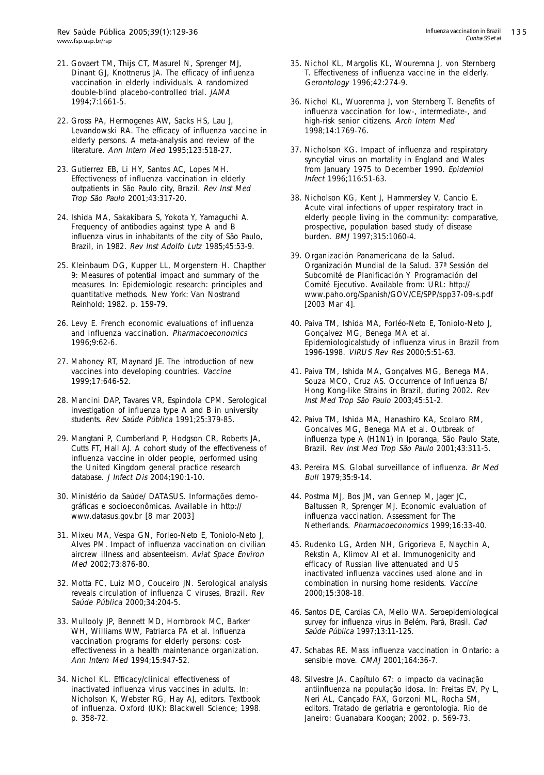- 21. Govaert TM, Thijs CT, Masurel N, Sprenger MJ, Dinant GJ, Knottnerus JA. The efficacy of influenza vaccination in elderly individuals. A randomized double-blind placebo-controlled trial. JAMA 1994;7:1661-5.
- 22. Gross PA, Hermogenes AW, Sacks HS, Lau J, Levandowski RA. The efficacy of influenza vaccine in elderly persons. A meta-analysis and review of the literature. Ann Intern Med 1995;123:518-27.
- 23. Gutierrez EB, Li HY, Santos AC, Lopes MH. Effectiveness of influenza vaccination in elderly outpatients in São Paulo city, Brazil. Rev Inst Med Trop São Paulo 2001;43:317-20.
- 24. Ishida MA, Sakakibara S, Yokota Y, Yamaguchi A. Frequency of antibodies against type A and B influenza virus in inhabitants of the city of São Paulo, Brazil, in 1982. Rev Inst Adolfo Lutz 1985;45:53-9.
- 25. Kleinbaum DG, Kupper LL, Morgenstern H. Chapther 9: Measures of potential impact and summary of the measures. In: Epidemiologic research: principles and quantitative methods. New York: Van Nostrand Reinhold; 1982. p. 159-79.
- 26. Levy E. French economic evaluations of influenza and influenza vaccination. Pharmacoeconomics 1996;9:62-6.
- 27. Mahoney RT, Maynard JE. The introduction of new vaccines into developing countries. Vaccine 1999;17:646-52.
- 28. Mancini DAP, Tavares VR, Espindola CPM. Serological investigation of influenza type A and B in university students. Rev Saúde Pública 1991;25:379-85.
- 29. Mangtani P, Cumberland P, Hodgson CR, Roberts JA, Cutts FT, Hall AJ. A cohort study of the effectiveness of influenza vaccine in older people, performed using the United Kingdom general practice research database. J Infect Dis 2004;190:1-10.
- 30. Ministério da Saúde/ DATASUS. Informações demográficas e socioeconômicas. Available in http:// www.datasus.gov.br [8 mar 2003]
- 31. Mixeu MA, Vespa GN, Forleo-Neto E, Toniolo-Neto J, Alves PM. Impact of influenza vaccination on civilian aircrew illness and absenteeism. Aviat Space Environ Med 2002;73:876-80.
- 32. Motta FC, Luiz MO, Couceiro JN. Serological analysis reveals circulation of influenza C viruses, Brazil. Rev Saúde Pública 2000;34:204-5.
- 33. Mullooly JP, Bennett MD, Hornbrook MC, Barker WH, Williams WW, Patriarca PA et al. Influenza vaccination programs for elderly persons: costeffectiveness in a health maintenance organization. Ann Intern Med 1994;15:947-52.
- 34. Nichol KL. Efficacy/clinical effectiveness of inactivated influenza virus vaccines in adults. In: Nicholson K, Webster RG, Hay AJ, editors. Textbook of influenza. Oxford (UK): Blackwell Science; 1998. p. 358-72.
- 35. Nichol KL, Margolis KL, Wouremna J, von Sternberg T. Effectiveness of influenza vaccine in the elderly. Gerontology 1996;42:274-9.
- 36. Nichol KL, Wuorenma J, von Sternberg T. Benefits of influenza vaccination for low-, intermediate-, and high-risk senior citizens. Arch Intern Med 1998;14:1769-76.
- 37. Nicholson KG. Impact of influenza and respiratory syncytial virus on mortality in England and Wales from January 1975 to December 1990. Epidemiol Infect 1996;116:51-63.
- 38. Nicholson KG, Kent J, Hammersley V, Cancio E. Acute viral infections of upper respiratory tract in elderly people living in the community: comparative, prospective, population based study of disease burden. BMJ 1997;315:1060-4.
- 39. Organización Panamericana de la Salud. Organización Mundial de la Salud. 37ª Sessión del Subcomité de Planificación Y Programación del Comité Ejecutivo. Available from: URL: http:// www.paho.org/Spanish/GOV/CE/SPP/spp37-09-s.pdf [2003 Mar 4].
- 40. Paiva TM, Ishida MA, Forléo-Neto E, Toniolo-Neto J, Gonçalvez MG, Benega MA et al. Epidemiologicalstudy of influenza virus in Brazil from 1996-1998. VIRUS Rev Res 2000;5:51-63.
- 41. Paiva TM, Ishida MA, Gonçalves MG, Benega MA, Souza MCO, Cruz AS. Occurrence of Influenza B/ Hong Kong-like Strains in Brazil, during 2002. Rev Inst Med Trop São Paulo 2003;45:51-2.
- 42. Paiva TM, Ishida MA, Hanashiro KA, Scolaro RM, Goncalves MG, Benega MA et al. Outbreak of influenza type A (H1N1) in Iporanga, São Paulo State, Brazil. Rev Inst Med Trop São Paulo 2001;43:311-5.
- 43. Pereira MS. Global surveillance of influenza. Br Med Bull 1979;35:9-14.
- 44. Postma MJ, Bos JM, van Gennep M, Jager JC, Baltussen R, Sprenger MJ. Economic evaluation of influenza vaccination. Assessment for The Netherlands. Pharmacoeconomics 1999;16:33-40.
- 45. Rudenko LG, Arden NH, Grigorieva E, Naychin A, Rekstin A, Klimov AI et al. Immunogenicity and efficacy of Russian live attenuated and US inactivated influenza vaccines used alone and in combination in nursing home residents. Vaccine 2000;15:308-18.
- 46. Santos DE, Cardias CA, Mello WA. Seroepidemiological survey for influenza virus in Belém, Pará, Brasil. Cad Saúde Pública 1997;13:11-125.
- 47. Schabas RE. Mass influenza vaccination in Ontario: a sensible move. CMAJ 2001;164:36-7.
- 48. Silvestre JA. Capítulo 67: o impacto da vacinação antiinfluenza na população idosa. In: Freitas EV, Py L, Neri AL, Cançado FAX, Gorzoni ML, Rocha SM, editors. Tratado de geriatria e gerontologia. Rio de Janeiro: Guanabara Koogan; 2002. p. 569-73.